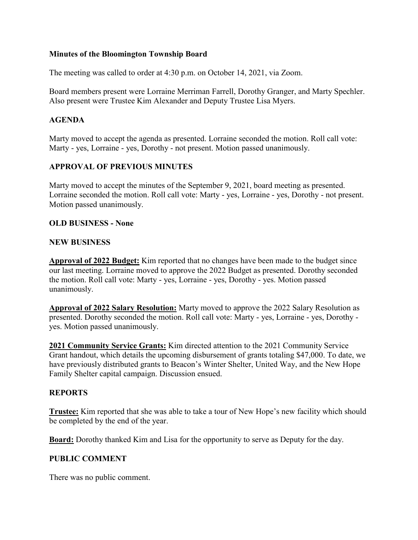### **Minutes of the Bloomington Township Board**

The meeting was called to order at 4:30 p.m. on October 14, 2021, via Zoom.

Board members present were Lorraine Merriman Farrell, Dorothy Granger, and Marty Spechler. Also present were Trustee Kim Alexander and Deputy Trustee Lisa Myers.

# **AGENDA**

Marty moved to accept the agenda as presented. Lorraine seconded the motion. Roll call vote: Marty - yes, Lorraine - yes, Dorothy - not present. Motion passed unanimously.

# **APPROVAL OF PREVIOUS MINUTES**

Marty moved to accept the minutes of the September 9, 2021, board meeting as presented. Lorraine seconded the motion. Roll call vote: Marty - yes, Lorraine - yes, Dorothy - not present. Motion passed unanimously.

### **OLD BUSINESS - None**

### **NEW BUSINESS**

**Approval of 2022 Budget:** Kim reported that no changes have been made to the budget since our last meeting. Lorraine moved to approve the 2022 Budget as presented. Dorothy seconded the motion. Roll call vote: Marty - yes, Lorraine - yes, Dorothy - yes. Motion passed unanimously.

**Approval of 2022 Salary Resolution:** Marty moved to approve the 2022 Salary Resolution as presented. Dorothy seconded the motion. Roll call vote: Marty - yes, Lorraine - yes, Dorothy yes. Motion passed unanimously.

**2021 Community Service Grants:** Kim directed attention to the 2021 Community Service Grant handout, which details the upcoming disbursement of grants totaling \$47,000. To date, we have previously distributed grants to Beacon's Winter Shelter, United Way, and the New Hope Family Shelter capital campaign. Discussion ensued.

# **REPORTS**

**Trustee:** Kim reported that she was able to take a tour of New Hope's new facility which should be completed by the end of the year.

**Board:** Dorothy thanked Kim and Lisa for the opportunity to serve as Deputy for the day.

#### **PUBLIC COMMENT**

There was no public comment.